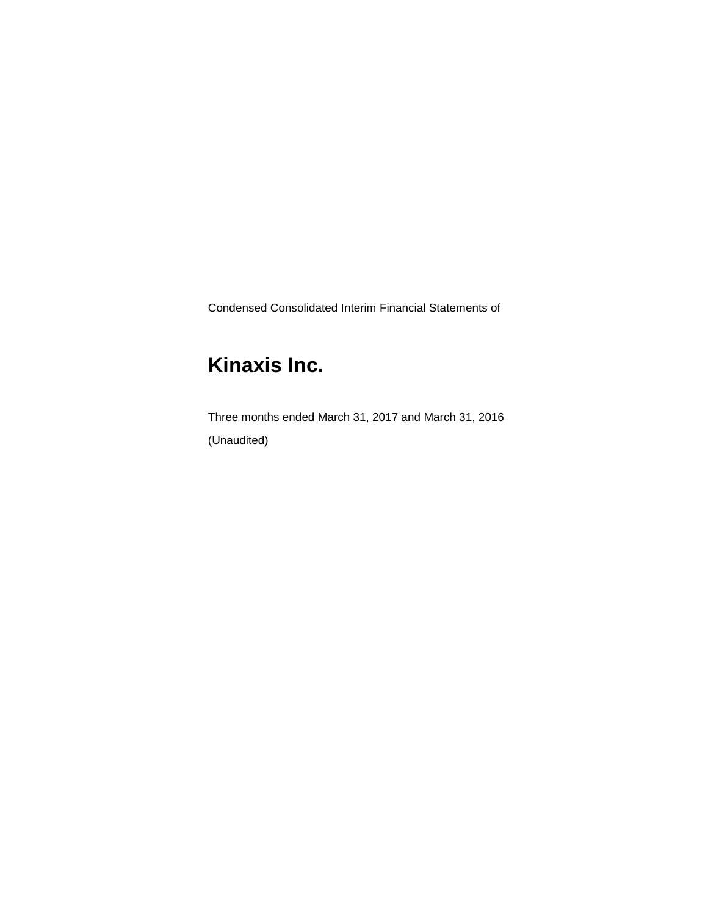Condensed Consolidated Interim Financial Statements of

# **Kinaxis Inc.**

Three months ended March 31, 2017 and March 31, 2016 (Unaudited)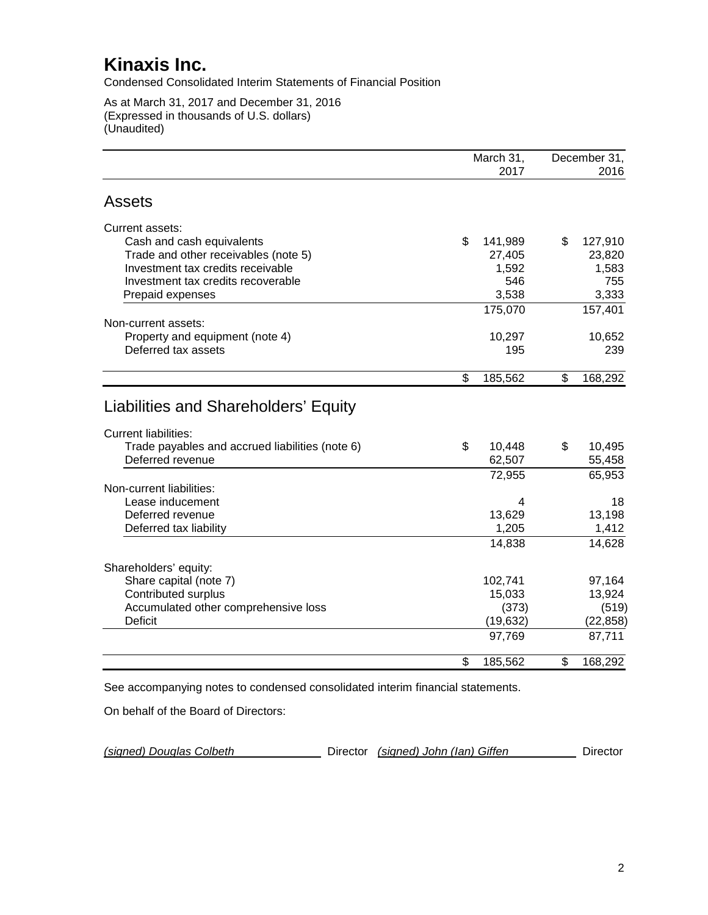Condensed Consolidated Interim Statements of Financial Position

As at March 31, 2017 and December 31, 2016 (Expressed in thousands of U.S. dollars) (Unaudited)

|                                                                     | March 31,        | December 31, |                  |
|---------------------------------------------------------------------|------------------|--------------|------------------|
|                                                                     | 2017             |              | 2016             |
| <b>Assets</b>                                                       |                  |              |                  |
| Current assets:                                                     |                  |              |                  |
| Cash and cash equivalents                                           | \$<br>141,989    | \$           | 127,910          |
| Trade and other receivables (note 5)                                | 27,405           |              | 23,820           |
| Investment tax credits receivable                                   | 1,592            |              | 1,583            |
| Investment tax credits recoverable                                  | 546              |              | 755              |
| Prepaid expenses                                                    | 3,538            |              | 3,333            |
|                                                                     | 175,070          |              | 157,401          |
| Non-current assets:                                                 |                  |              |                  |
| Property and equipment (note 4)                                     | 10,297           |              | 10,652           |
| Deferred tax assets                                                 | 195              |              | 239              |
|                                                                     | \$<br>185,562    | \$           | 168,292          |
| Liabilities and Shareholders' Equity<br><b>Current liabilities:</b> | \$               | \$           |                  |
| Trade payables and accrued liabilities (note 6)<br>Deferred revenue | 10,448<br>62,507 |              | 10,495<br>55,458 |
|                                                                     | 72,955           |              | 65,953           |
| Non-current liabilities:                                            |                  |              |                  |
| Lease inducement                                                    | 4                |              | 18               |
| Deferred revenue                                                    | 13,629           |              | 13,198           |
| Deferred tax liability                                              | 1,205            |              | 1,412            |
|                                                                     | 14,838           |              | 14,628           |
| Shareholders' equity:                                               |                  |              |                  |
| Share capital (note 7)                                              | 102,741          |              | 97,164           |
| <b>Contributed surplus</b>                                          | 15,033           |              | 13,924           |
| Accumulated other comprehensive loss                                | (373)            |              | (519)            |
| <b>Deficit</b>                                                      | (19, 632)        |              | (22, 858)        |
|                                                                     | 97,769           |              | 87,711           |
|                                                                     | \$<br>185,562    | \$           | 168,292          |

See accompanying notes to condensed consolidated interim financial statements.

On behalf of the Board of Directors:

| Director (signed) John (Ian) Giffen<br>(signed) Douglas Colbeth | Director |
|-----------------------------------------------------------------|----------|
|-----------------------------------------------------------------|----------|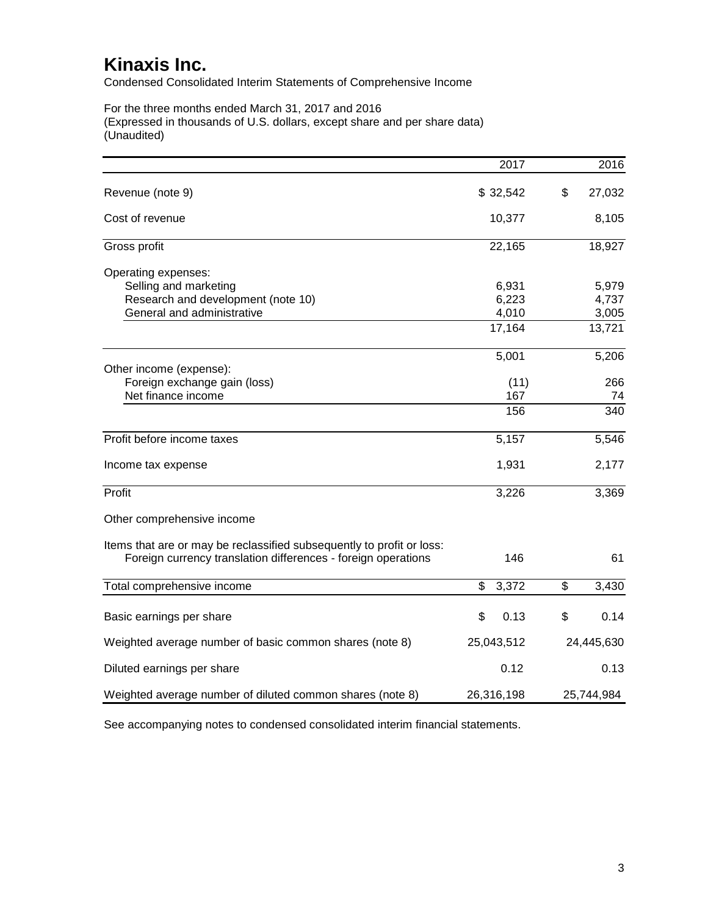Condensed Consolidated Interim Statements of Comprehensive Income

For the three months ended March 31, 2017 and 2016 (Expressed in thousands of U.S. dollars, except share and per share data) (Unaudited)

|                                                                       | 2017        | 2016         |
|-----------------------------------------------------------------------|-------------|--------------|
| Revenue (note 9)                                                      | \$32,542    | \$<br>27,032 |
| Cost of revenue                                                       | 10,377      | 8,105        |
| Gross profit                                                          | 22,165      | 18,927       |
| Operating expenses:                                                   |             |              |
| Selling and marketing                                                 | 6,931       | 5,979        |
| Research and development (note 10)                                    | 6,223       | 4,737        |
| General and administrative                                            | 4,010       | 3,005        |
|                                                                       | 17,164      | 13,721       |
|                                                                       | 5,001       | 5,206        |
| Other income (expense):                                               |             |              |
| Foreign exchange gain (loss)                                          | (11)        | 266          |
| Net finance income                                                    | 167         | 74           |
|                                                                       | 156         | 340          |
| Profit before income taxes                                            | 5,157       | 5,546        |
| Income tax expense                                                    | 1,931       | 2,177        |
| Profit                                                                | 3,226       | 3,369        |
| Other comprehensive income                                            |             |              |
| Items that are or may be reclassified subsequently to profit or loss: |             |              |
| Foreign currency translation differences - foreign operations         | 146         | 61           |
| Total comprehensive income                                            | \$<br>3,372 | \$<br>3,430  |
|                                                                       |             |              |
| Basic earnings per share                                              | \$<br>0.13  | \$<br>0.14   |
| Weighted average number of basic common shares (note 8)               | 25,043,512  | 24,445,630   |
| Diluted earnings per share                                            | 0.12        | 0.13         |
| Weighted average number of diluted common shares (note 8)             | 26,316,198  | 25,744,984   |

See accompanying notes to condensed consolidated interim financial statements.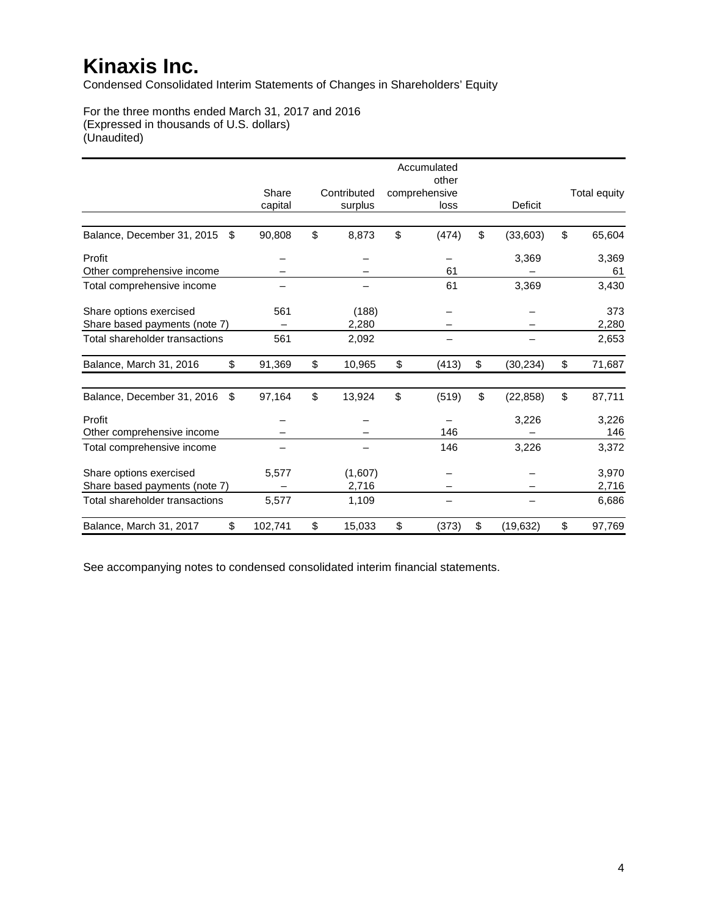Condensed Consolidated Interim Statements of Changes in Shareholders' Equity

For the three months ended March 31, 2017 and 2016 (Expressed in thousands of U.S. dollars) (Unaudited)

|                                  |         |              | Accumulated<br>other |                 |                     |
|----------------------------------|---------|--------------|----------------------|-----------------|---------------------|
|                                  | Share   | Contributed  | comprehensive        |                 | <b>Total equity</b> |
|                                  | capital | surplus      | loss                 | Deficit         |                     |
| Balance, December 31, 2015<br>\$ | 90,808  | \$<br>8,873  | \$<br>(474)          | \$<br>(33,603)  | \$<br>65,604        |
| Profit                           |         |              |                      | 3,369           | 3,369               |
| Other comprehensive income       |         |              | 61                   |                 | 61                  |
| Total comprehensive income       |         |              | 61                   | 3,369           | 3,430               |
| Share options exercised          | 561     | (188)        |                      |                 | 373                 |
| Share based payments (note 7)    |         | 2,280        |                      |                 | 2,280               |
| Total shareholder transactions   | 561     | 2,092        |                      |                 | 2,653               |
| Balance, March 31, 2016<br>\$    | 91,369  | \$<br>10,965 | \$<br>(413)          | \$<br>(30, 234) | \$<br>71,687        |
| Balance, December 31, 2016<br>\$ | 97,164  | \$<br>13,924 | \$<br>(519)          | \$<br>(22, 858) | \$<br>87,711        |
| Profit                           |         |              |                      | 3,226           | 3,226               |
| Other comprehensive income       |         |              | 146                  |                 | 146                 |
| Total comprehensive income       |         |              | 146                  | 3,226           | 3,372               |
| Share options exercised          | 5,577   | (1,607)      |                      |                 | 3,970               |
| Share based payments (note 7)    |         | 2,716        |                      |                 | 2,716               |
| Total shareholder transactions   | 5,577   | 1,109        |                      |                 | 6,686               |
| \$<br>Balance, March 31, 2017    | 102,741 | \$<br>15,033 | \$<br>(373)          | \$<br>(19, 632) | \$<br>97,769        |

See accompanying notes to condensed consolidated interim financial statements.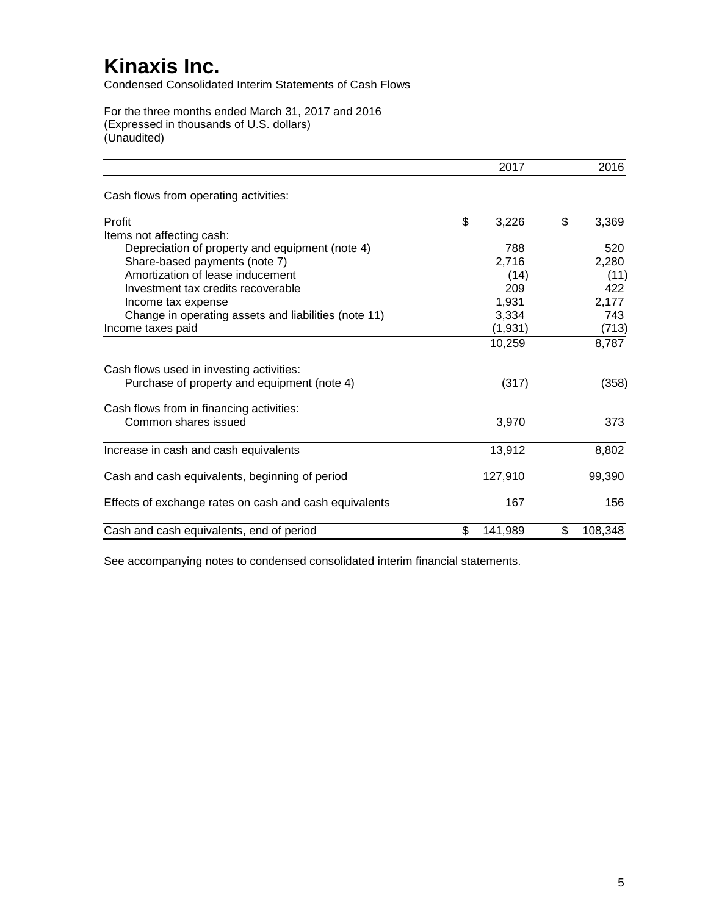Condensed Consolidated Interim Statements of Cash Flows

For the three months ended March 31, 2017 and 2016 (Expressed in thousands of U.S. dollars) (Unaudited)

|                                                        | 2017          | 2016          |
|--------------------------------------------------------|---------------|---------------|
| Cash flows from operating activities:                  |               |               |
| Profit                                                 | \$<br>3,226   | \$<br>3,369   |
| Items not affecting cash:                              |               |               |
| Depreciation of property and equipment (note 4)        | 788           | 520           |
| Share-based payments (note 7)                          | 2,716         | 2,280         |
| Amortization of lease inducement                       | (14)          | (11)          |
| Investment tax credits recoverable                     | 209           | 422           |
| Income tax expense                                     | 1,931         | 2,177         |
| Change in operating assets and liabilities (note 11)   | 3,334         | 743           |
| Income taxes paid                                      | (1, 931)      | (713)         |
|                                                        | 10,259        | 8,787         |
| Cash flows used in investing activities:               |               |               |
| Purchase of property and equipment (note 4)            | (317)         | (358)         |
| Cash flows from in financing activities:               |               |               |
| Common shares issued                                   | 3,970         | 373           |
| Increase in cash and cash equivalents                  | 13,912        | 8,802         |
|                                                        |               |               |
| Cash and cash equivalents, beginning of period         | 127,910       | 99,390        |
| Effects of exchange rates on cash and cash equivalents | 167           | 156           |
| Cash and cash equivalents, end of period               | \$<br>141,989 | \$<br>108,348 |

See accompanying notes to condensed consolidated interim financial statements.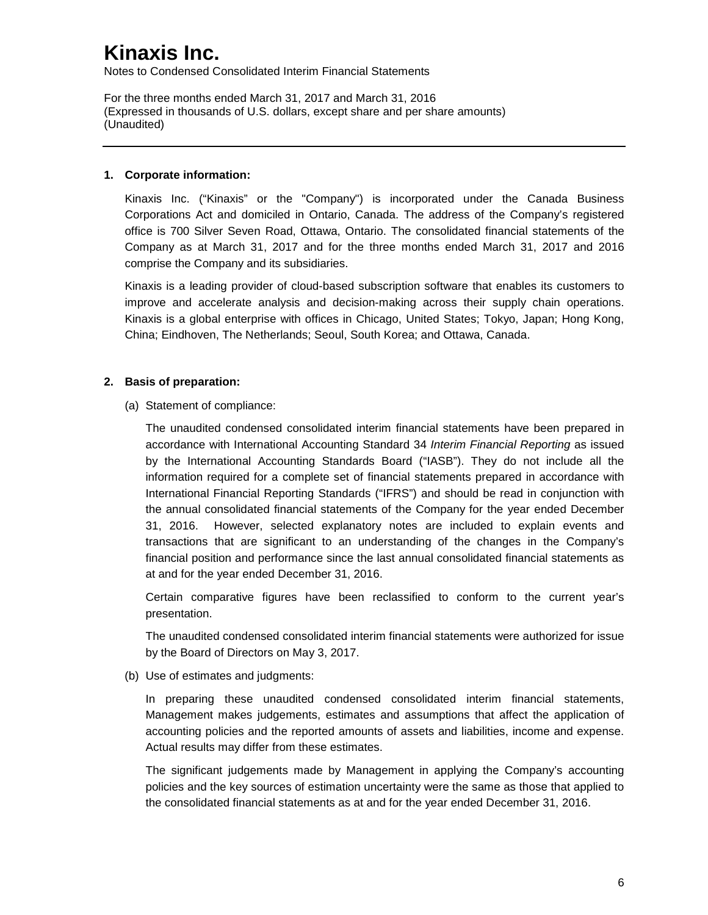Notes to Condensed Consolidated Interim Financial Statements

For the three months ended March 31, 2017 and March 31, 2016 (Expressed in thousands of U.S. dollars, except share and per share amounts) (Unaudited)

#### **1. Corporate information:**

Kinaxis Inc. ("Kinaxis" or the "Company") is incorporated under the Canada Business Corporations Act and domiciled in Ontario, Canada. The address of the Company's registered office is 700 Silver Seven Road, Ottawa, Ontario. The consolidated financial statements of the Company as at March 31, 2017 and for the three months ended March 31, 2017 and 2016 comprise the Company and its subsidiaries.

Kinaxis is a leading provider of cloud-based subscription software that enables its customers to improve and accelerate analysis and decision-making across their supply chain operations. Kinaxis is a global enterprise with offices in Chicago, United States; Tokyo, Japan; Hong Kong, China; Eindhoven, The Netherlands; Seoul, South Korea; and Ottawa, Canada.

### **2. Basis of preparation:**

(a) Statement of compliance:

The unaudited condensed consolidated interim financial statements have been prepared in accordance with International Accounting Standard 34 *Interim Financial Reporting* as issued by the International Accounting Standards Board ("IASB"). They do not include all the information required for a complete set of financial statements prepared in accordance with International Financial Reporting Standards ("IFRS") and should be read in conjunction with the annual consolidated financial statements of the Company for the year ended December 31, 2016. However, selected explanatory notes are included to explain events and transactions that are significant to an understanding of the changes in the Company's financial position and performance since the last annual consolidated financial statements as at and for the year ended December 31, 2016.

Certain comparative figures have been reclassified to conform to the current year's presentation.

The unaudited condensed consolidated interim financial statements were authorized for issue by the Board of Directors on May 3, 2017.

(b) Use of estimates and judgments:

In preparing these unaudited condensed consolidated interim financial statements, Management makes judgements, estimates and assumptions that affect the application of accounting policies and the reported amounts of assets and liabilities, income and expense. Actual results may differ from these estimates.

The significant judgements made by Management in applying the Company's accounting policies and the key sources of estimation uncertainty were the same as those that applied to the consolidated financial statements as at and for the year ended December 31, 2016.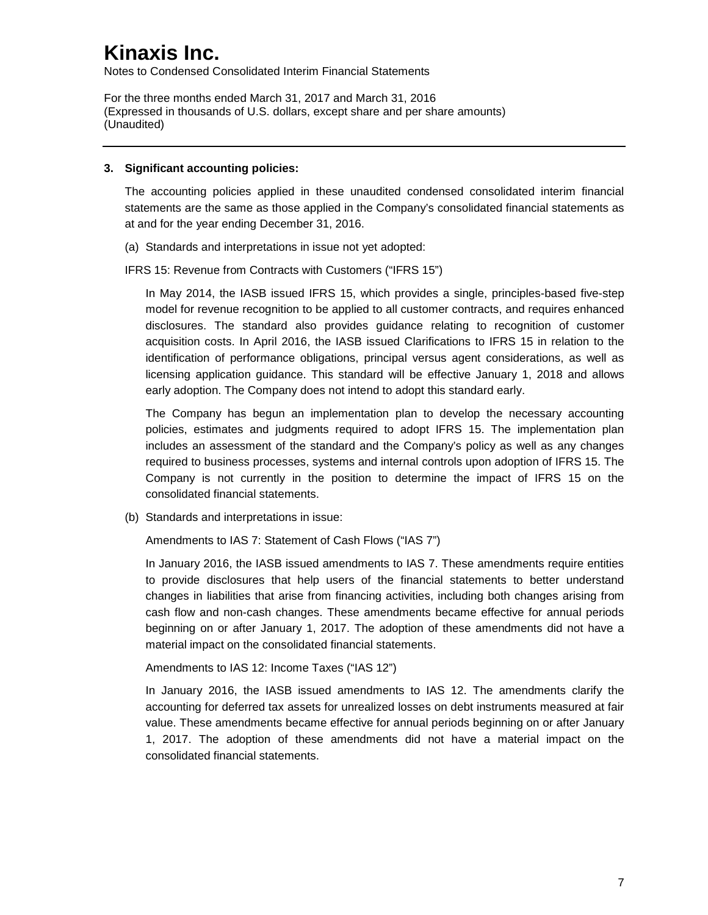Notes to Condensed Consolidated Interim Financial Statements

For the three months ended March 31, 2017 and March 31, 2016 (Expressed in thousands of U.S. dollars, except share and per share amounts) (Unaudited)

#### **3. Significant accounting policies:**

The accounting policies applied in these unaudited condensed consolidated interim financial statements are the same as those applied in the Company's consolidated financial statements as at and for the year ending December 31, 2016.

(a) Standards and interpretations in issue not yet adopted:

IFRS 15: Revenue from Contracts with Customers ("IFRS 15")

In May 2014, the IASB issued IFRS 15, which provides a single, principles-based five-step model for revenue recognition to be applied to all customer contracts, and requires enhanced disclosures. The standard also provides guidance relating to recognition of customer acquisition costs. In April 2016, the IASB issued Clarifications to IFRS 15 in relation to the identification of performance obligations, principal versus agent considerations, as well as licensing application guidance. This standard will be effective January 1, 2018 and allows early adoption. The Company does not intend to adopt this standard early.

The Company has begun an implementation plan to develop the necessary accounting policies, estimates and judgments required to adopt IFRS 15. The implementation plan includes an assessment of the standard and the Company's policy as well as any changes required to business processes, systems and internal controls upon adoption of IFRS 15. The Company is not currently in the position to determine the impact of IFRS 15 on the consolidated financial statements.

(b) Standards and interpretations in issue:

Amendments to IAS 7: Statement of Cash Flows ("IAS 7")

In January 2016, the IASB issued amendments to IAS 7. These amendments require entities to provide disclosures that help users of the financial statements to better understand changes in liabilities that arise from financing activities, including both changes arising from cash flow and non-cash changes. These amendments became effective for annual periods beginning on or after January 1, 2017. The adoption of these amendments did not have a material impact on the consolidated financial statements.

Amendments to IAS 12: Income Taxes ("IAS 12")

In January 2016, the IASB issued amendments to IAS 12. The amendments clarify the accounting for deferred tax assets for unrealized losses on debt instruments measured at fair value. These amendments became effective for annual periods beginning on or after January 1, 2017. The adoption of these amendments did not have a material impact on the consolidated financial statements.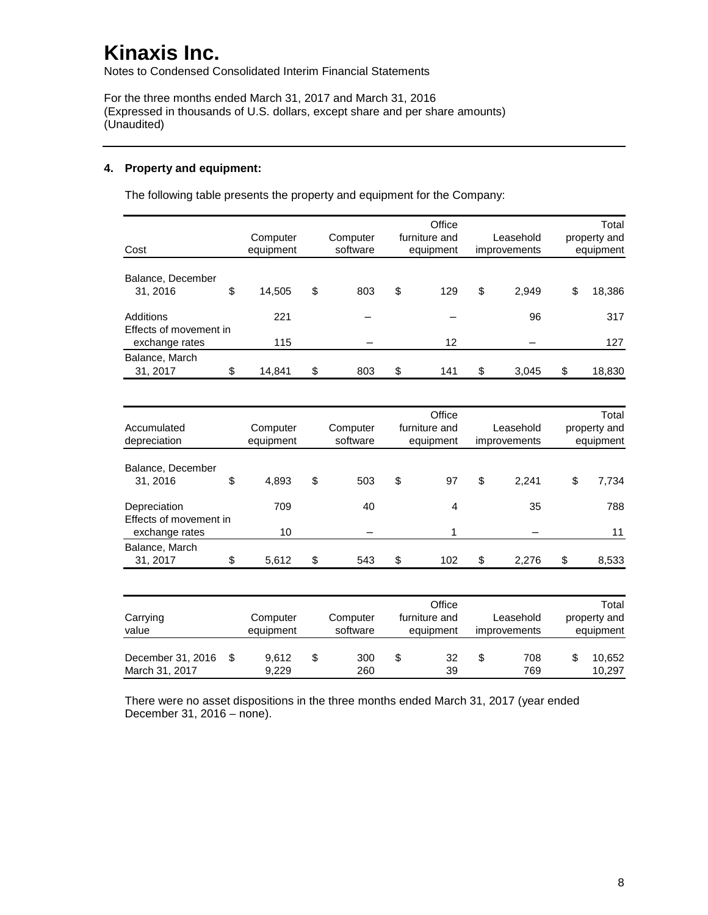Notes to Condensed Consolidated Interim Financial Statements

For the three months ended March 31, 2017 and March 31, 2016 (Expressed in thousands of U.S. dollars, except share and per share amounts) (Unaudited)

### **4. Property and equipment:**

The following table presents the property and equipment for the Company:

| Cost                                                  |    | Computer<br>equipment | Office<br>furniture and<br>Computer<br>software<br>equipment |    | Leasehold<br>improvements |    | Total<br>property and<br>equipment |              |
|-------------------------------------------------------|----|-----------------------|--------------------------------------------------------------|----|---------------------------|----|------------------------------------|--------------|
| Balance, December<br>31, 2016                         | \$ | 14,505                | \$<br>803                                                    | \$ | 129                       | \$ | 2,949                              | \$<br>18,386 |
| Additions<br>Effects of movement in<br>exchange rates |    | 221<br>115            |                                                              |    | 12                        |    | 96                                 | 317<br>127   |
| Balance, March<br>31, 2017                            | \$ | 14,841                | \$<br>803                                                    | \$ | 141                       | \$ | 3.045                              | \$<br>18,830 |

| Accumulated<br>depreciation            | Computer<br>equipment | Computer<br>software | Office<br>furniture and<br>equipment |     | Leasehold<br>improvements |       | Total<br>property and<br>equipment |
|----------------------------------------|-----------------------|----------------------|--------------------------------------|-----|---------------------------|-------|------------------------------------|
| Balance, December<br>31, 2016          | \$<br>4,893           | \$<br>503            | \$                                   | 97  | \$                        | 2,241 | \$<br>7,734                        |
| Depreciation<br>Effects of movement in | 709                   | 40                   |                                      | 4   |                           | 35    | 788                                |
| exchange rates                         | 10                    |                      |                                      |     |                           |       | 11                                 |
| Balance, March<br>31, 2017             | \$<br>5,612           | \$<br>543            | \$                                   | 102 | \$                        | 2.276 | \$<br>8,533                        |

| Carrying<br>value                   | Computer<br>equipment | Computer<br>software | Office<br>furniture and<br>equipment | Leasehold<br><i>improvements</i> | Total<br>property and<br>equipment |
|-------------------------------------|-----------------------|----------------------|--------------------------------------|----------------------------------|------------------------------------|
| December 31, 2016<br>March 31, 2017 | 9.612<br>9.229        | \$<br>300<br>260     | \$<br>32<br>39                       | 708<br>769                       | 10.652<br>10.297                   |

There were no asset dispositions in the three months ended March 31, 2017 (year ended December 31, 2016 – none).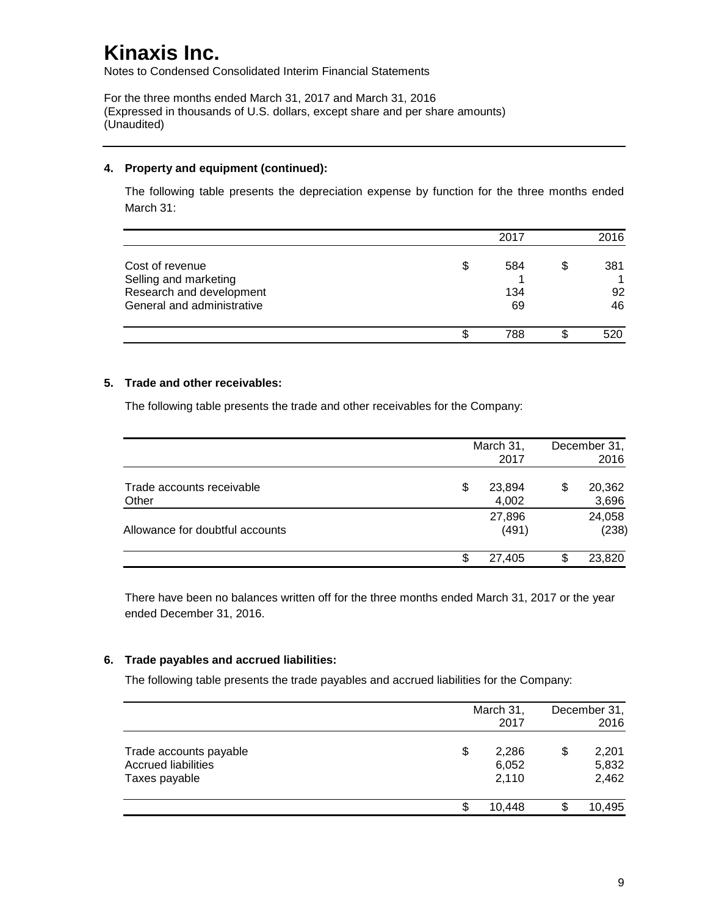Notes to Condensed Consolidated Interim Financial Statements

For the three months ended March 31, 2017 and March 31, 2016 (Expressed in thousands of U.S. dollars, except share and per share amounts) (Unaudited)

#### **4. Property and equipment (continued):**

The following table presents the depreciation expense by function for the three months ended March 31:

|                                          |   | 2017 |   | 2016 |
|------------------------------------------|---|------|---|------|
| Cost of revenue<br>Selling and marketing | S | 584  | S | 381  |
| Research and development                 |   | 134  |   | 92   |
| General and administrative               |   | 69   |   | 46   |
|                                          |   | 788  |   | 520  |

#### **5. Trade and other receivables:**

The following table presents the trade and other receivables for the Company:

|                                    |   | March 31,<br>2017 |   | December 31,<br>2016 |
|------------------------------------|---|-------------------|---|----------------------|
| Trade accounts receivable<br>Other | S | 23,894<br>4,002   | S | 20,362<br>3,696      |
| Allowance for doubtful accounts    |   | 27,896<br>(491)   |   | 24,058<br>(238)      |
|                                    |   | 27.405            |   | 23,820               |

There have been no balances written off for the three months ended March 31, 2017 or the year ended December 31, 2016.

### **6. Trade payables and accrued liabilities:**

The following table presents the trade payables and accrued liabilities for the Company:

|                                                                       |    | March 31,<br>2017       | December 31,<br>2016          |
|-----------------------------------------------------------------------|----|-------------------------|-------------------------------|
| Trade accounts payable<br><b>Accrued liabilities</b><br>Taxes payable | \$ | 2,286<br>6,052<br>2,110 | \$<br>2,201<br>5,832<br>2,462 |
|                                                                       | S  | 10.448                  | 10,495                        |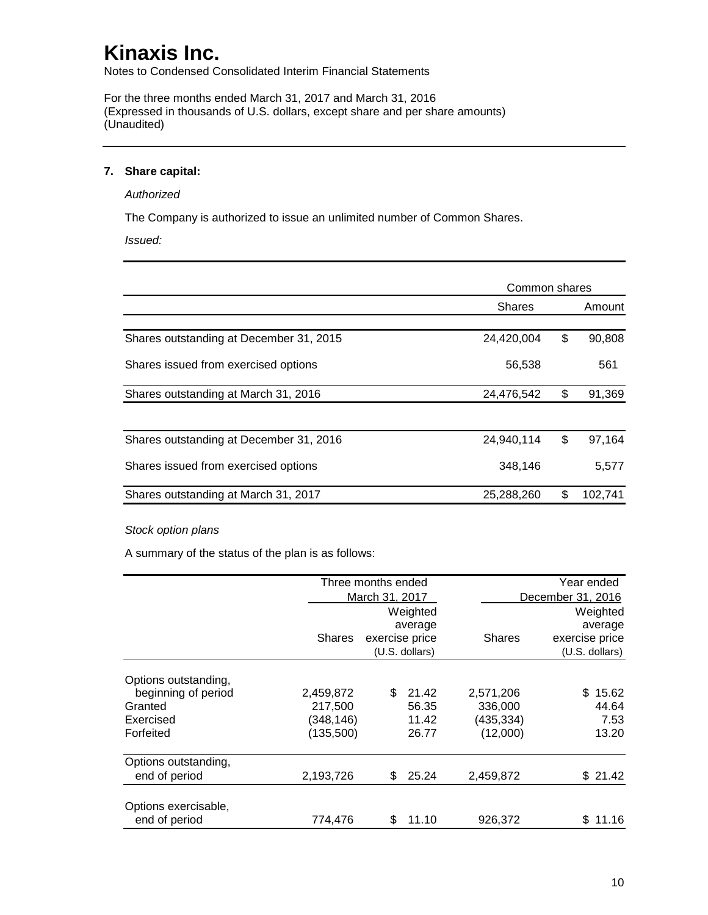Notes to Condensed Consolidated Interim Financial Statements

For the three months ended March 31, 2017 and March 31, 2016 (Expressed in thousands of U.S. dollars, except share and per share amounts) (Unaudited)

### **7. Share capital:**

#### *Authorized*

The Company is authorized to issue an unlimited number of Common Shares.

*Issued:*

|                                         | Common shares |               |
|-----------------------------------------|---------------|---------------|
|                                         | <b>Shares</b> | Amount        |
| Shares outstanding at December 31, 2015 | 24,420,004    | \$<br>90,808  |
| Shares issued from exercised options    | 56,538        | 561           |
| Shares outstanding at March 31, 2016    | 24,476,542    | \$<br>91,369  |
| Shares outstanding at December 31, 2016 | 24,940,114    | \$<br>97,164  |
| Shares issued from exercised options    | 348,146       | 5,577         |
| Shares outstanding at March 31, 2017    | 25,288,260    | \$<br>102.741 |

#### *Stock option plans*

A summary of the status of the plan is as follows:

|                      |               | Three months ended |                |               | Year ended        |
|----------------------|---------------|--------------------|----------------|---------------|-------------------|
|                      |               | March 31, 2017     |                |               | December 31, 2016 |
|                      |               |                    | Weighted       |               | Weighted          |
|                      |               |                    | average        |               | average           |
|                      | <b>Shares</b> | exercise price     |                | <b>Shares</b> | exercise price    |
|                      |               |                    | (U.S. dollars) |               | (U.S. dollars)    |
| Options outstanding, |               |                    |                |               |                   |
| beginning of period  | 2,459,872     | \$                 | 21.42          | 2,571,206     | 15.62<br>S.       |
| Granted              | 217.500       |                    | 56.35          | 336,000       | 44.64             |
| Exercised            | (348,146)     |                    | 11.42          | (435,334)     | 7.53              |
| Forfeited            | (135,500)     |                    | 26.77          | (12,000)      | 13.20             |
| Options outstanding, |               |                    |                |               |                   |
| end of period        | 2,193,726     | \$                 | 25.24          | 2,459,872     | \$21.42           |
|                      |               |                    |                |               |                   |
| Options exercisable, |               |                    |                |               |                   |
| end of period        | 774,476       | \$                 | 11.10          | 926,372       | 11.16             |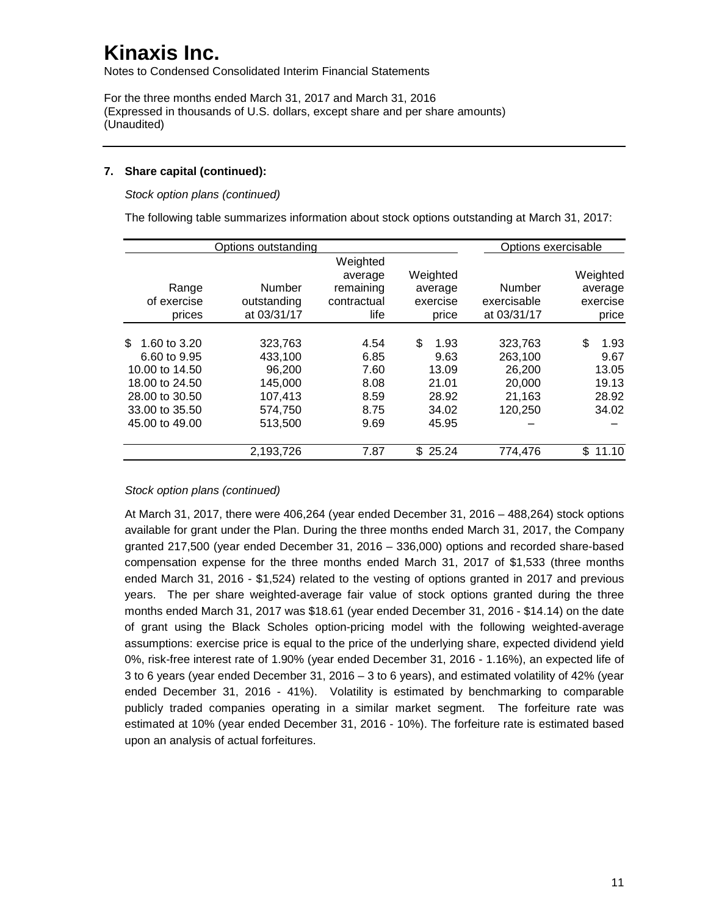Notes to Condensed Consolidated Interim Financial Statements

For the three months ended March 31, 2017 and March 31, 2016 (Expressed in thousands of U.S. dollars, except share and per share amounts) (Unaudited)

### **7. Share capital (continued):**

*Stock option plans (continued)*

The following table summarizes information about stock options outstanding at March 31, 2017:

|                                                                                                                               | Options outstanding                                                      |                                                         |                                                                 | Options exercisable                                         |                                                        |
|-------------------------------------------------------------------------------------------------------------------------------|--------------------------------------------------------------------------|---------------------------------------------------------|-----------------------------------------------------------------|-------------------------------------------------------------|--------------------------------------------------------|
| Range<br>of exercise<br>prices                                                                                                | Number<br>outstanding<br>at 03/31/17                                     | Weighted<br>average<br>remaining<br>contractual<br>life | Weighted<br>average<br>exercise<br>price                        | Number<br>exercisable<br>at 03/31/17                        | Weighted<br>average<br>exercise<br>price               |
| \$.<br>1.60 to 3.20<br>6.60 to 9.95<br>10.00 to 14.50<br>18.00 to 24.50<br>28,00 to 30.50<br>33.00 to 35.50<br>45.00 to 49.00 | 323.763<br>433.100<br>96,200<br>145,000<br>107,413<br>574,750<br>513,500 | 4.54<br>6.85<br>7.60<br>8.08<br>8.59<br>8.75<br>9.69    | \$<br>1.93<br>9.63<br>13.09<br>21.01<br>28.92<br>34.02<br>45.95 | 323.763<br>263,100<br>26,200<br>20,000<br>21,163<br>120,250 | \$<br>1.93<br>9.67<br>13.05<br>19.13<br>28.92<br>34.02 |
|                                                                                                                               | 2,193,726                                                                | 7.87                                                    | \$25.24                                                         | 774,476                                                     | \$<br>11.10                                            |

*Stock option plans (continued)*

At March 31, 2017, there were 406,264 (year ended December 31, 2016 – 488,264) stock options available for grant under the Plan. During the three months ended March 31, 2017, the Company granted 217,500 (year ended December 31, 2016 – 336,000) options and recorded share-based compensation expense for the three months ended March 31, 2017 of \$1,533 (three months ended March 31, 2016 - \$1,524) related to the vesting of options granted in 2017 and previous years. The per share weighted-average fair value of stock options granted during the three months ended March 31, 2017 was \$18.61 (year ended December 31, 2016 - \$14.14) on the date of grant using the Black Scholes option-pricing model with the following weighted-average assumptions: exercise price is equal to the price of the underlying share, expected dividend yield 0%, risk-free interest rate of 1.90% (year ended December 31, 2016 - 1.16%), an expected life of 3 to 6 years (year ended December 31, 2016 – 3 to 6 years), and estimated volatility of 42% (year ended December 31, 2016 - 41%). Volatility is estimated by benchmarking to comparable publicly traded companies operating in a similar market segment. The forfeiture rate was estimated at 10% (year ended December 31, 2016 - 10%). The forfeiture rate is estimated based upon an analysis of actual forfeitures.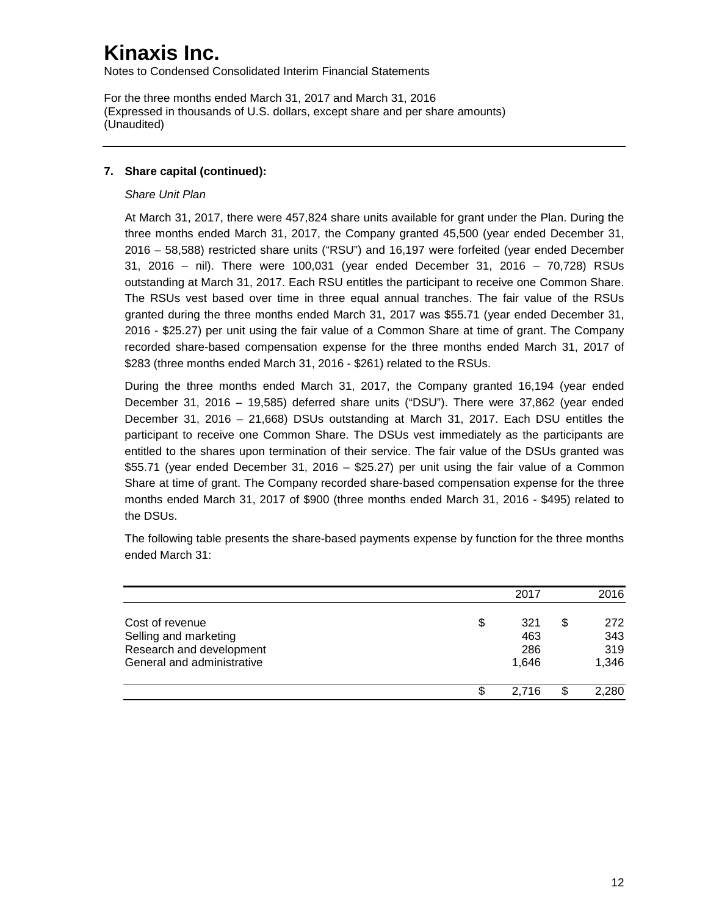Notes to Condensed Consolidated Interim Financial Statements

For the three months ended March 31, 2017 and March 31, 2016 (Expressed in thousands of U.S. dollars, except share and per share amounts) (Unaudited)

### **7. Share capital (continued):**

### *Share Unit Plan*

At March 31, 2017, there were 457,824 share units available for grant under the Plan. During the three months ended March 31, 2017, the Company granted 45,500 (year ended December 31, 2016 – 58,588) restricted share units ("RSU") and 16,197 were forfeited (year ended December 31, 2016 – nil). There were 100,031 (year ended December 31, 2016 – 70,728) RSUs outstanding at March 31, 2017. Each RSU entitles the participant to receive one Common Share. The RSUs vest based over time in three equal annual tranches. The fair value of the RSUs granted during the three months ended March 31, 2017 was \$55.71 (year ended December 31, 2016 - \$25.27) per unit using the fair value of a Common Share at time of grant. The Company recorded share-based compensation expense for the three months ended March 31, 2017 of \$283 (three months ended March 31, 2016 - \$261) related to the RSUs.

During the three months ended March 31, 2017, the Company granted 16,194 (year ended December 31, 2016 – 19,585) deferred share units ("DSU"). There were 37,862 (year ended December 31, 2016 – 21,668) DSUs outstanding at March 31, 2017. Each DSU entitles the participant to receive one Common Share. The DSUs vest immediately as the participants are entitled to the shares upon termination of their service. The fair value of the DSUs granted was \$55.71 (year ended December 31, 2016 – \$25.27) per unit using the fair value of a Common Share at time of grant. The Company recorded share-based compensation expense for the three months ended March 31, 2017 of \$900 (three months ended March 31, 2016 - \$495) related to the DSUs.

The following table presents the share-based payments expense by function for the three months ended March 31:

|                            | 2017      | 2016      |
|----------------------------|-----------|-----------|
| Cost of revenue            | \$<br>321 | \$<br>272 |
| Selling and marketing      | 463       | 343       |
| Research and development   | 286       | 319       |
| General and administrative | 1.646     | 1,346     |
|                            | 2.716     | 2,280     |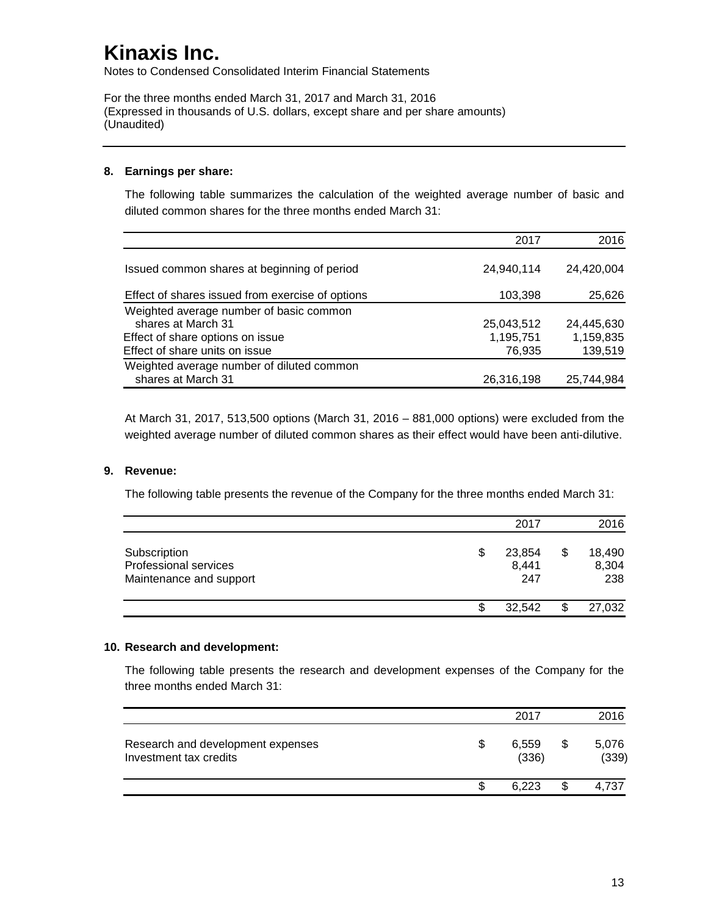Notes to Condensed Consolidated Interim Financial Statements

For the three months ended March 31, 2017 and March 31, 2016 (Expressed in thousands of U.S. dollars, except share and per share amounts) (Unaudited)

### **8. Earnings per share:**

The following table summarizes the calculation of the weighted average number of basic and diluted common shares for the three months ended March 31:

|                                                  | 2017       | 2016       |
|--------------------------------------------------|------------|------------|
| Issued common shares at beginning of period      | 24,940,114 | 24,420,004 |
| Effect of shares issued from exercise of options | 103,398    | 25,626     |
| Weighted average number of basic common          |            |            |
| shares at March 31                               | 25,043,512 | 24,445,630 |
| Effect of share options on issue                 | 1,195,751  | 1,159,835  |
| Effect of share units on issue                   | 76,935     | 139,519    |
| Weighted average number of diluted common        |            |            |
| shares at March 31                               | 26,316,198 | 25,744,984 |

At March 31, 2017, 513,500 options (March 31, 2016 – 881,000 options) were excluded from the weighted average number of diluted common shares as their effect would have been anti-dilutive.

### **9. Revenue:**

The following table presents the revenue of the Company for the three months ended March 31:

|                                                                         | 2017                         |    | 2016                   |
|-------------------------------------------------------------------------|------------------------------|----|------------------------|
| Subscription<br><b>Professional services</b><br>Maintenance and support | \$<br>23,854<br>8,441<br>247 | S  | 18,490<br>8,304<br>238 |
|                                                                         | 32.542                       | S. | 27,032                 |

#### **10. Research and development:**

The following table presents the research and development expenses of the Company for the three months ended March 31:

|                                                             |                     | 2017  |   | 2016           |
|-------------------------------------------------------------|---------------------|-------|---|----------------|
| Research and development expenses<br>Investment tax credits | 6,559<br>S<br>(336) |       | S | 5,076<br>(339) |
|                                                             |                     | 6.223 |   | 4,737          |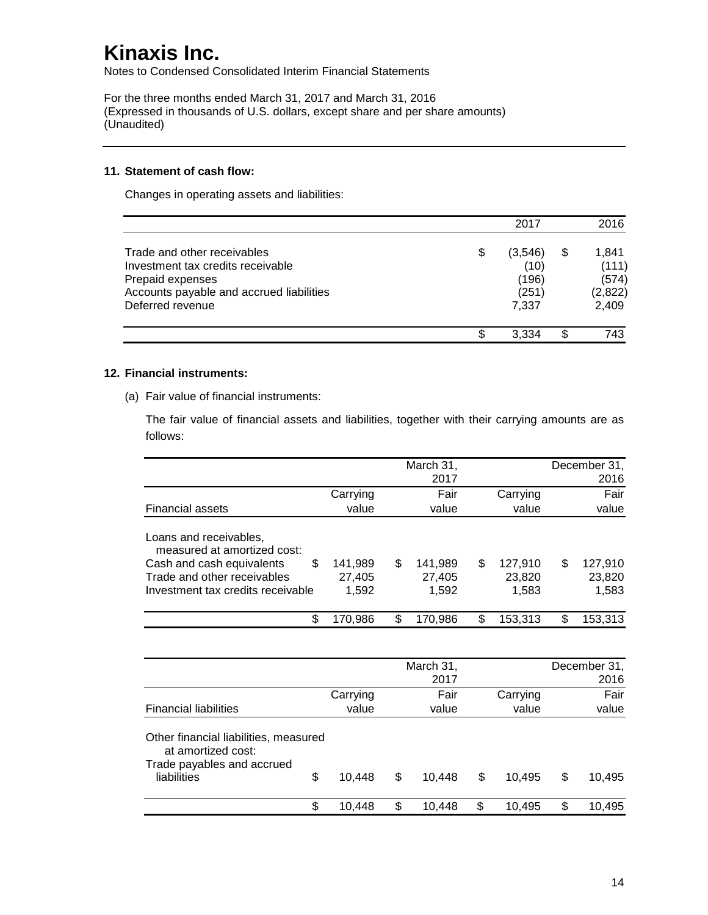Notes to Condensed Consolidated Interim Financial Statements

For the three months ended March 31, 2017 and March 31, 2016 (Expressed in thousands of U.S. dollars, except share and per share amounts) (Unaudited)

#### **11. Statement of cash flow:**

Changes in operating assets and liabilities:

|                                                                                                                                                      | 2017                                       |    | 2016                                        |
|------------------------------------------------------------------------------------------------------------------------------------------------------|--------------------------------------------|----|---------------------------------------------|
| Trade and other receivables<br>Investment tax credits receivable<br>Prepaid expenses<br>Accounts payable and accrued liabilities<br>Deferred revenue | (3,546)<br>(10)<br>(196)<br>(251)<br>7.337 | \$ | 1,841<br>(111)<br>(574)<br>(2,822)<br>2,409 |
|                                                                                                                                                      | 3.334                                      | S  | 743                                         |

### **12. Financial instruments:**

(a) Fair value of financial instruments:

The fair value of financial assets and liabilities, together with their carrying amounts are as follows:

|                                                             |          | March 31,<br>2017 |               | December 31,<br>2016 |
|-------------------------------------------------------------|----------|-------------------|---------------|----------------------|
|                                                             |          |                   |               |                      |
|                                                             | Carrying | Fair              | Carrying      | Fair                 |
| <b>Financial assets</b>                                     | value    | value             | value         | value                |
| Loans and receivables,<br>measured at amortized cost:       |          |                   |               |                      |
| \$<br>Cash and cash equivalents                             | 141,989  | \$<br>141,989     | \$<br>127,910 | \$<br>127,910        |
| Trade and other receivables                                 | 27,405   | 27,405            | 23,820        | 23,820               |
| Investment tax credits receivable                           | 1,592    | 1,592             | 1,583         | 1,583                |
|                                                             |          |                   |               |                      |
| \$                                                          | 170,986  | \$<br>170,986     | \$<br>153,313 | \$<br>153,313        |
|                                                             |          |                   |               |                      |
|                                                             |          | March 31,         |               | December 31,         |
|                                                             |          | 2017              |               | 2016                 |
|                                                             | Carrying | Fair              | Carrying      | Fair                 |
| <b>Financial liabilities</b>                                | value    | value             | value         | value                |
| Other financial liabilities, measured<br>at amortized cost: |          |                   |               |                      |
| Trade payables and accrued<br>\$<br>liabilities             | 10,448   | \$<br>10,448      | \$            | \$                   |
|                                                             |          |                   | 10,495        | 10,495               |
| \$                                                          | 10,448   | \$<br>10,448      | \$<br>10,495  | \$<br>10,495         |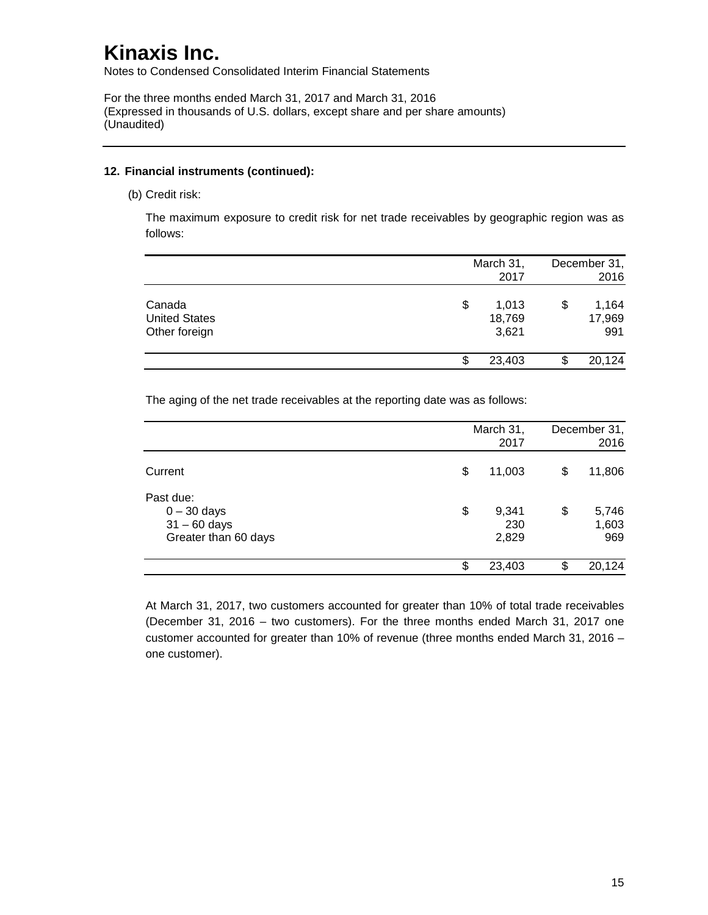Notes to Condensed Consolidated Interim Financial Statements

For the three months ended March 31, 2017 and March 31, 2016 (Expressed in thousands of U.S. dollars, except share and per share amounts) (Unaudited)

#### **12. Financial instruments (continued):**

(b) Credit risk:

The maximum exposure to credit risk for net trade receivables by geographic region was as follows:

|                                                 | March 31,<br>2017              | December 31,<br>2016         |
|-------------------------------------------------|--------------------------------|------------------------------|
| Canada<br><b>United States</b><br>Other foreign | \$<br>1,013<br>18,769<br>3,621 | \$<br>1,164<br>17,969<br>991 |
|                                                 | \$<br>23,403                   | 20,124                       |

The aging of the net trade receivables at the reporting date was as follows:

|                                                                      | March 31,<br>2017           |    | December 31,<br>2016  |
|----------------------------------------------------------------------|-----------------------------|----|-----------------------|
| Current                                                              | \$<br>11,003                | \$ | 11,806                |
| Past due:<br>$0 - 30$ days<br>$31 - 60$ days<br>Greater than 60 days | \$<br>9,341<br>230<br>2,829 | \$ | 5,746<br>1,603<br>969 |
|                                                                      | \$<br>23,403                | S. | 20,124                |

At March 31, 2017, two customers accounted for greater than 10% of total trade receivables (December 31, 2016 – two customers). For the three months ended March 31, 2017 one customer accounted for greater than 10% of revenue (three months ended March 31, 2016 – one customer).